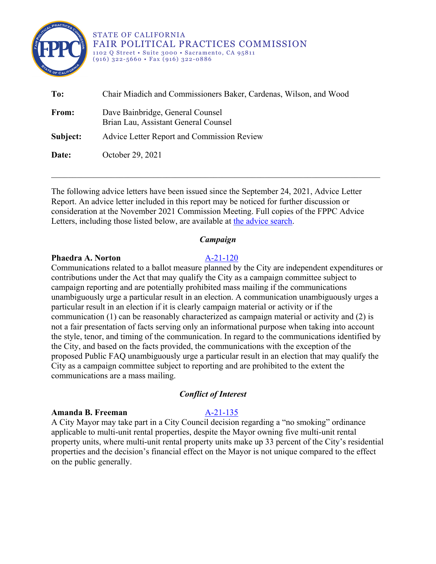

STATE OF CALIFORNIA FAIR POLITICAL PRACTICES COMMISSION 1102 Q Street • Suite 3000 • Sacramento, CA 95811 (916) 322-5660 • Fax (916) 322-0886

| To:      | Chair Miadich and Commissioners Baker, Cardenas, Wilson, and Wood        |
|----------|--------------------------------------------------------------------------|
| From:    | Dave Bainbridge, General Counsel<br>Brian Lau, Assistant General Counsel |
| Subject: | Advice Letter Report and Commission Review                               |
| Date:    | October 29, 2021                                                         |

The following advice letters have been issued since the September 24, 2021, Advice Letter Report. An advice letter included in this report may be noticed for further discussion or consideration at the November 2021 Commission Meeting. Full copies of the FPPC Advice Letters, including those listed below, are available at [the advice search.](http://www.fppc.ca.gov/the-law/opinions-and-advice-letters/law-advice-search.html)

## *Campaign*

### **Phaedra A. Norton** [A-21-120](https://www.fppc.ca.gov/content/dam/fppc/documents/advice-letters/2021-/2021/21120.pdf)

Communications related to a ballot measure planned by the City are independent expenditures or contributions under the Act that may qualify the City as a campaign committee subject to campaign reporting and are potentially prohibited mass mailing if the communications unambiguously urge a particular result in an election. A communication unambiguously urges a particular result in an election if it is clearly campaign material or activity or if the communication (1) can be reasonably characterized as campaign material or activity and (2) is not a fair presentation of facts serving only an informational purpose when taking into account the style, tenor, and timing of the communication. In regard to the communications identified by the City, and based on the facts provided, the communications with the exception of the proposed Public FAQ unambiguously urge a particular result in an election that may qualify the City as a campaign committee subject to reporting and are prohibited to the extent the communications are a mass mailing.

## *Conflict of Interest*

## **Amanda B. Freeman** [A-21-135](https://www.fppc.ca.gov/content/dam/fppc/documents/advice-letters/2021-/2021/21135.pdf)

A City Mayor may take part in a City Council decision regarding a "no smoking" ordinance applicable to multi-unit rental properties, despite the Mayor owning five multi-unit rental property units, where multi-unit rental property units make up 33 percent of the City's residential properties and the decision's financial effect on the Mayor is not unique compared to the effect on the public generally.